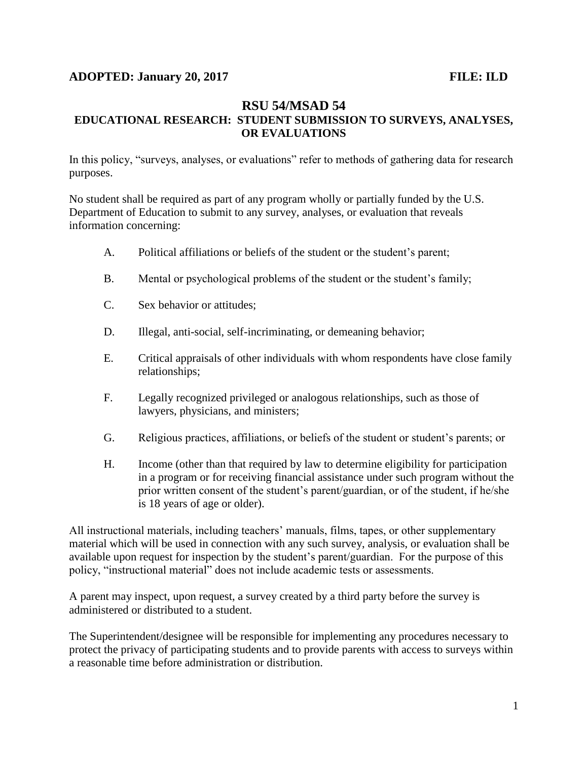## **ADOPTED: January 20, 2017 FILE: ILD**

## **RSU 54/MSAD 54 EDUCATIONAL RESEARCH: STUDENT SUBMISSION TO SURVEYS, ANALYSES, OR EVALUATIONS**

In this policy, "surveys, analyses, or evaluations" refer to methods of gathering data for research purposes.

No student shall be required as part of any program wholly or partially funded by the U.S. Department of Education to submit to any survey, analyses, or evaluation that reveals information concerning:

- A. Political affiliations or beliefs of the student or the student's parent;
- B. Mental or psychological problems of the student or the student's family;
- C. Sex behavior or attitudes;
- D. Illegal, anti-social, self-incriminating, or demeaning behavior;
- E. Critical appraisals of other individuals with whom respondents have close family relationships;
- F. Legally recognized privileged or analogous relationships, such as those of lawyers, physicians, and ministers;
- G. Religious practices, affiliations, or beliefs of the student or student's parents; or
- H. Income (other than that required by law to determine eligibility for participation in a program or for receiving financial assistance under such program without the prior written consent of the student's parent/guardian, or of the student, if he/she is 18 years of age or older).

All instructional materials, including teachers' manuals, films, tapes, or other supplementary material which will be used in connection with any such survey, analysis, or evaluation shall be available upon request for inspection by the student's parent/guardian. For the purpose of this policy, "instructional material" does not include academic tests or assessments.

A parent may inspect, upon request, a survey created by a third party before the survey is administered or distributed to a student.

The Superintendent/designee will be responsible for implementing any procedures necessary to protect the privacy of participating students and to provide parents with access to surveys within a reasonable time before administration or distribution.